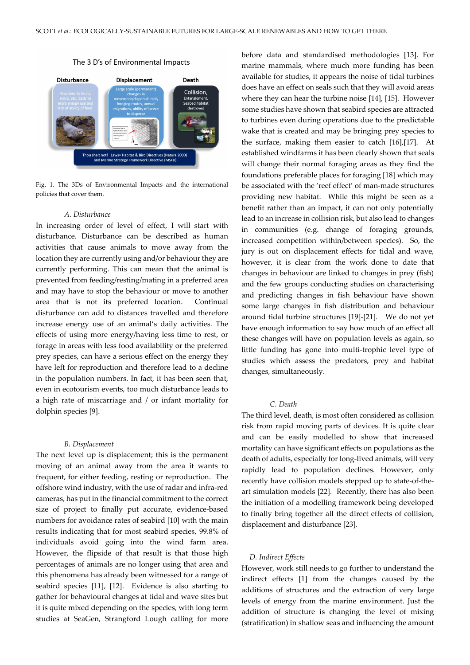### The 3 D's of Environmental Impacts



Fig. 1. The 3Ds of Environmental Impacts and the international policies that cover them.

#### *A. Disturbance*

In increasing order of level of effect, I will start with disturbance. Disturbance can be described as human activities that cause animals to move away from the location they are currently using and/or behaviour they are currently performing. This can mean that the animal is prevented from feeding/resting/mating in a preferred area and may have to stop the behaviour or move to another area that is not its preferred location. Continual disturbance can add to distances travelled and therefore increase energy use of an animal's daily activities. The effects of using more energy/having less time to rest, or forage in areas with less food availability or the preferred prey species, can have a serious effect on the energy they have left for reproduction and therefore lead to a decline in the population numbers. In fact, it has been seen that, even in ecotourism events, too much disturbance leads to a high rate of miscarriage and / or infant mortality for dolphin species [9].

## *B. Displacement*

The next level up is displacement; this is the permanent moving of an animal away from the area it wants to frequent, for either feeding, resting or reproduction. The offshore wind industry, with the use of radar and infra-red cameras, has put in the financial commitment to the correct size of project to finally put accurate, evidence-based numbers for avoidance rates of seabird [10] with the main results indicating that for most seabird species, 99.8% of individuals avoid going into the wind farm area. However, the flipside of that result is that those high percentages of animals are no longer using that area and this phenomena has already been witnessed for a range of seabird species [11], [12]. Evidence is also starting to gather for behavioural changes at tidal and wave sites but it is quite mixed depending on the species, with long term studies at SeaGen, Strangford Lough calling for more before data and standardised methodologies [13]. For marine mammals, where much more funding has been available for studies, it appears the noise of tidal turbines does have an effect on seals such that they will avoid areas where they can hear the turbine noise [14], [15]. However some studies have shown that seabird species are attracted to turbines even during operations due to the predictable wake that is created and may be bringing prey species to the surface, making them easier to catch [16],[17]. At established windfarms it has been clearly shown that seals will change their normal foraging areas as they find the foundations preferable places for foraging [18] which may be associated with the 'reef effect' of man-made structures providing new habitat. While this might be seen as a benefit rather than an impact, it can not only potentially lead to an increase in collision risk, but also lead to changes in communities (e.g. change of foraging grounds, increased competition within/between species). So, the jury is out on displacement effects for tidal and wave, however, it is clear from the work done to date that changes in behaviour are linked to changes in prey (fish) and the few groups conducting studies on characterising and predicting changes in fish behaviour have shown some large changes in fish distribution and behaviour around tidal turbine structures [19]-[21]. We do not yet have enough information to say how much of an effect all these changes will have on population levels as again, so little funding has gone into multi-trophic level type of studies which assess the predators, prey and habitat changes, simultaneously.

# *C. Death*

The third level, death, is most often considered as collision risk from rapid moving parts of devices. It is quite clear and can be easily modelled to show that increased mortality can have significant effects on populations as the death of adults, especially for long-lived animals, will very rapidly lead to population declines. However, only recently have collision models stepped up to state-of-theart simulation models [22]. Recently, there has also been the initiation of a modelling framework being developed to finally bring together all the direct effects of collision, displacement and disturbance [23].

## *D. Indirect Effects*

However, work still needs to go further to understand the indirect effects [1] from the changes caused by the additions of structures and the extraction of very large levels of energy from the marine environment. Just the addition of structure is changing the level of mixing (stratification) in shallow seas and influencing the amount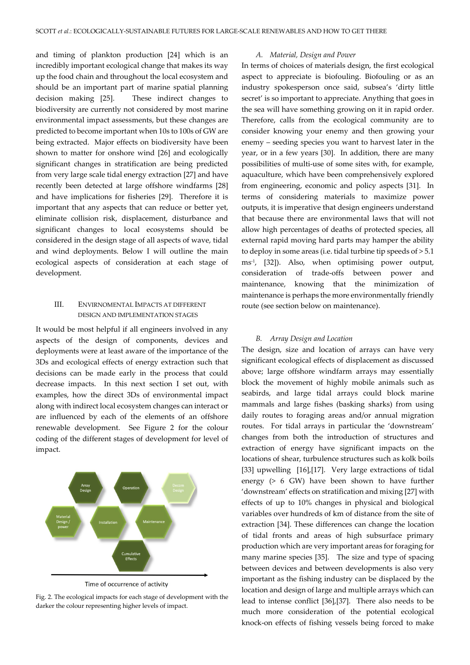and timing of plankton production [24] which is an incredibly important ecological change that makes its way up the food chain and throughout the local ecosystem and should be an important part of marine spatial planning decision making [25]. These indirect changes to biodiversity are currently not considered by most marine environmental impact assessments, but these changes are predicted to become important when 10s to 100s of GW are being extracted. Major effects on biodiversity have been shown to matter for onshore wind [26] and ecologically significant changes in stratification are being predicted from very large scale tidal energy extraction [27] and have recently been detected at large offshore windfarms [28] and have implications for fisheries [29]. Therefore it is important that any aspects that can reduce or better yet, eliminate collision risk, displacement, disturbance and significant changes to local ecosystems should be considered in the design stage of all aspects of wave, tidal and wind deployments. Below I will outline the main ecological aspects of consideration at each stage of development.

## III. ENVIRNOMENTAL IMPACTS AT DIFFERENT DESIGN AND IMPLEMENTATION STAGES

It would be most helpful if all engineers involved in any aspects of the design of components, devices and deployments were at least aware of the importance of the 3Ds and ecological effects of energy extraction such that decisions can be made early in the process that could decrease impacts. In this next section I set out, with examples, how the direct 3Ds of environmental impact along with indirect local ecosystem changes can interact or are influenced by each of the elements of an offshore renewable development. See Figure 2 for the colour coding of the different stages of development for level of impact.



Fig. 2. The ecological impacts for each stage of development with the darker the colour representing higher levels of impact.

### *A. Material, Design and Power*

In terms of choices of materials design, the first ecological aspect to appreciate is biofouling. Biofouling or as an industry spokesperson once said, subsea's 'dirty little secret' is so important to appreciate. Anything that goes in the sea will have something growing on it in rapid order. Therefore, calls from the ecological community are to consider knowing your enemy and then growing your enemy – seeding species you want to harvest later in the year, or in a few years [30]. In addition, there are many possibilities of multi-use of some sites with, for example, aquaculture, which have been comprehensively explored from engineering, economic and policy aspects [31]. In terms of considering materials to maximize power outputs, it is imperative that design engineers understand that because there are environmental laws that will not allow high percentages of deaths of protected species, all external rapid moving hard parts may hamper the ability to deploy in some areas (i.e. tidal turbine tip speeds of > 5.1 ms-1, [32]). Also, when optimising power output, consideration of trade-offs between power and maintenance, knowing that the minimization of maintenance is perhaps the more environmentally friendly route (see section below on maintenance).

#### *B. Array Design and Location*

The design, size and location of arrays can have very significant ecological effects of displacement as discussed above; large offshore windfarm arrays may essentially block the movement of highly mobile animals such as seabirds, and large tidal arrays could block marine mammals and large fishes (basking sharks) from using daily routes to foraging areas and/or annual migration routes. For tidal arrays in particular the 'downstream' changes from both the introduction of structures and extraction of energy have significant impacts on the locations of shear, turbulence structures such as kolk boils [33] upwelling [16],[17]. Very large extractions of tidal energy (> 6 GW) have been shown to have further 'downstream' effects on stratification and mixing [27] with effects of up to 10% changes in physical and biological variables over hundreds of km of distance from the site of extraction [34]. These differences can change the location of tidal fronts and areas of high subsurface primary production which are very important areas for foraging for many marine species [35]. The size and type of spacing between devices and between developments is also very important as the fishing industry can be displaced by the location and design of large and multiple arrays which can lead to intense conflict [36],[37]. There also needs to be much more consideration of the potential ecological knock-on effects of fishing vessels being forced to make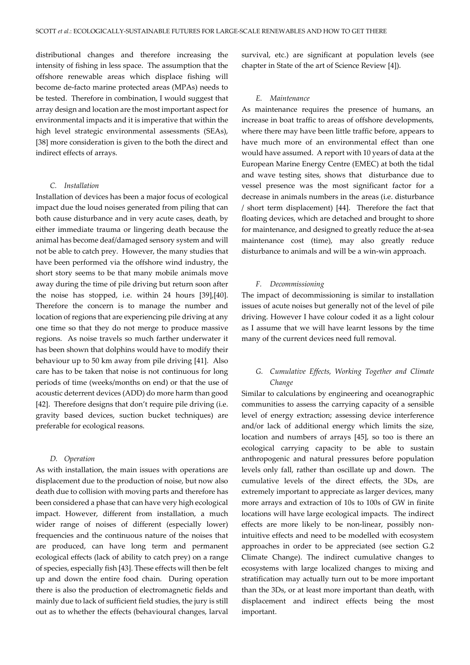distributional changes and therefore increasing the intensity of fishing in less space. The assumption that the offshore renewable areas which displace fishing will become de-facto marine protected areas (MPAs) needs to be tested. Therefore in combination, I would suggest that array design and location are the most important aspect for environmental impacts and it is imperative that within the high level strategic environmental assessments (SEAs), [38] more consideration is given to the both the direct and indirect effects of arrays.

## *C. Installation*

Installation of devices has been a major focus of ecological impact due the loud noises generated from piling that can both cause disturbance and in very acute cases, death, by either immediate trauma or lingering death because the animal has become deaf/damaged sensory system and will not be able to catch prey. However, the many studies that have been performed via the offshore wind industry, the short story seems to be that many mobile animals move away during the time of pile driving but return soon after the noise has stopped, i.e. within 24 hours [39],[40]. Therefore the concern is to manage the number and location of regions that are experiencing pile driving at any one time so that they do not merge to produce massive regions. As noise travels so much farther underwater it has been shown that dolphins would have to modify their behaviour up to 50 km away from pile driving [41]. Also care has to be taken that noise is not continuous for long periods of time (weeks/months on end) or that the use of acoustic deterrent devices (ADD) do more harm than good [42]. Therefore designs that don't require pile driving (i.e. gravity based devices, suction bucket techniques) are preferable for ecological reasons.

#### *D. Operation*

As with installation, the main issues with operations are displacement due to the production of noise, but now also death due to collision with moving parts and therefore has been considered a phase that can have very high ecological impact. However, different from installation, a much wider range of noises of different (especially lower) frequencies and the continuous nature of the noises that are produced, can have long term and permanent ecological effects (lack of ability to catch prey) on a range of species, especially fish [43]. These effects will then be felt up and down the entire food chain. During operation there is also the production of electromagnetic fields and mainly due to lack of sufficient field studies, the jury is still out as to whether the effects (behavioural changes, larval

survival, etc.) are significant at population levels (see chapter in State of the art of Science Review [4]).

## *E. Maintenance*

As maintenance requires the presence of humans, an increase in boat traffic to areas of offshore developments, where there may have been little traffic before, appears to have much more of an environmental effect than one would have assumed. A report with 10 years of data at the European Marine Energy Centre (EMEC) at both the tidal and wave testing sites, shows that disturbance due to vessel presence was the most significant factor for a decrease in animals numbers in the areas (i.e. disturbance / short term displacement) [44]. Therefore the fact that floating devices, which are detached and brought to shore for maintenance, and designed to greatly reduce the at-sea maintenance cost (time), may also greatly reduce disturbance to animals and will be a win-win approach.

## *F. Decommissioning*

The impact of decommissioning is similar to installation issues of acute noises but generally not of the level of pile driving. However I have colour coded it as a light colour as I assume that we will have learnt lessons by the time many of the current devices need full removal.

## *G. Cumulative Effects, Working Together and Climate Change*

Similar to calculations by engineering and oceanographic communities to assess the carrying capacity of a sensible level of energy extraction; assessing device interference and/or lack of additional energy which limits the size, location and numbers of arrays [45], so too is there an ecological carrying capacity to be able to sustain anthropogenic and natural pressures before population levels only fall, rather than oscillate up and down. The cumulative levels of the direct effects, the 3Ds, are extremely important to appreciate as larger devices, many more arrays and extraction of 10s to 100s of GW in finite locations will have large ecological impacts. The indirect effects are more likely to be non-linear, possibly nonintuitive effects and need to be modelled with ecosystem approaches in order to be appreciated (see section G.2 Climate Change). The indirect cumulative changes to ecosystems with large localized changes to mixing and stratification may actually turn out to be more important than the 3Ds, or at least more important than death, with displacement and indirect effects being the most important.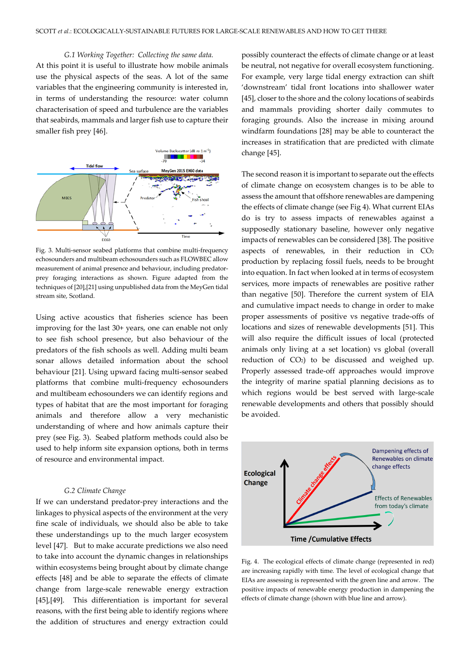*G.1 Working Together: Collecting the same data.* At this point it is useful to illustrate how mobile animals use the physical aspects of the seas. A lot of the same variables that the engineering community is interested in, in terms of understanding the resource: water column characterisation of speed and turbulence are the variables that seabirds, mammals and larger fish use to capture their smaller fish prey [46].



Fig. 3. Multi-sensor seabed platforms that combine multi-frequency echosounders and multibeam echosounders such as FLOWBEC allow measurement of animal presence and behaviour, including predatorprey foraging interactions as shown. Figure adapted from the techniques of [20],[21] using unpublished data from the MeyGen tidal stream site, Scotland.

Using active acoustics that fisheries science has been improving for the last 30+ years, one can enable not only to see fish school presence, but also behaviour of the predators of the fish schools as well. Adding multi beam sonar allows detailed information about the school behaviour [21]. Using upward facing multi-sensor seabed platforms that combine multi-frequency echosounders and multibeam echosounders we can identify regions and types of habitat that are the most important for foraging animals and therefore allow a very mechanistic understanding of where and how animals capture their prey (see Fig. 3). Seabed platform methods could also be used to help inform site expansion options, both in terms of resource and environmental impact.

## *G.2 Climate Change*

If we can understand predator-prey interactions and the linkages to physical aspects of the environment at the very fine scale of individuals, we should also be able to take these understandings up to the much larger ecosystem level [47]. But to make accurate predictions we also need to take into account the dynamic changes in relationships within ecosystems being brought about by climate change effects [48] and be able to separate the effects of climate change from large-scale renewable energy extraction [45],[49]. This differentiation is important for several reasons, with the first being able to identify regions where the addition of structures and energy extraction could

possibly counteract the effects of climate change or at least be neutral, not negative for overall ecosystem functioning. For example, very large tidal energy extraction can shift 'downstream' tidal front locations into shallower water [45], closer to the shore and the colony locations of seabirds and mammals providing shorter daily commutes to foraging grounds. Also the increase in mixing around windfarm foundations [28] may be able to counteract the increases in stratification that are predicted with climate change [45].

The second reason it is important to separate out the effects of climate change on ecosystem changes is to be able to assess the amount that offshore renewables are dampening the effects of climate change (see Fig 4). What current EIAs do is try to assess impacts of renewables against a supposedly stationary baseline, however only negative impacts of renewables can be considered [38]. The positive aspects of renewables, in their reduction in CO<sub>2</sub> production by replacing fossil fuels, needs to be brought into equation. In fact when looked at in terms of ecosystem services, more impacts of renewables are positive rather than negative [50]. Therefore the current system of EIA and cumulative impact needs to change in order to make proper assessments of positive vs negative trade-offs of locations and sizes of renewable developments [51]. This will also require the difficult issues of local (protected animals only living at a set location) vs global (overall reduction of CO2) to be discussed and weighed up. Properly assessed trade-off approaches would improve the integrity of marine spatial planning decisions as to which regions would be best served with large-scale renewable developments and others that possibly should be avoided.



Fig. 4. The ecological effects of climate change (represented in red) are increasing rapidly with time. The level of ecological change that EIAs are assessing is represented with the green line and arrow. The positive impacts of renewable energy production in dampening the effects of climate change (shown with blue line and arrow).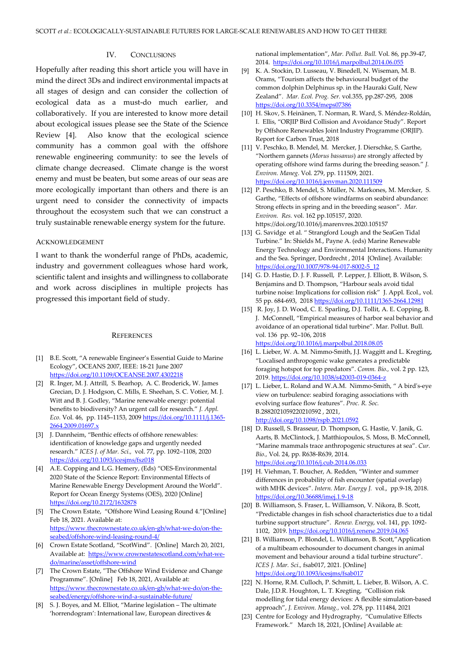## IV. CONCLUSIONS

Hopefully after reading this short article you will have in mind the direct 3Ds and indirect environmental impacts at all stages of design and can consider the collection of ecological data as a must-do much earlier, and collaboratively. If you are interested to know more detail about ecological issues please see the State of the Science Review [4]. Also know that the ecological science community has a common goal with the offshore renewable engineering community: to see the levels of climate change decreased. Climate change is the worst enemy and must be beaten, but some areas of our seas are more ecologically important than others and there is an urgent need to consider the connectivity of impacts throughout the ecosystem such that we can construct a truly sustainable renewable energy system for the future.

## ACKNOWLEDGEMENT

I want to thank the wonderful range of PhDs, academic, industry and government colleagues whose hard work, scientific talent and insights and willingness to collaborate and work across disciplines in multiple projects has progressed this important field of study.

## **REFERENCES**

- [1] B.E. Scott, "A renewable Engineer's Essential Guide to Marine Ecology", OCEANS 2007, IEEE: 18-21 June 2007 <https://doi.org/10.1109/OCEANSE.2007.4302218>
- [2] R. Inger, M. J. Attrill, S. Bearhop, A. C. Broderick, W. James Grecian, D. J. Hodgson, C. Mills, E. Sheehan, S. C. Votier, M. J. Witt and B. J. Godley, "Marine renewable energy: potential benefits to biodiversity? An urgent call for research." *J. Appl. Eco.* Vol. 46, pp. 1145–1153, 2009 [https://doi.org/10.1111/j.1365-](https://doi.org/10.1111/j.1365-2664.2009.01697.x) [2664.2009.01697.x](https://doi.org/10.1111/j.1365-2664.2009.01697.x)
- [3] J. Dannheim, "Benthic effects of offshore renewables: identification of knowledge gaps and urgently needed research." *ICES J. of Mar. Sci.,* vol. 77, pp. 1092–1108, 2020 <https://doi.org/10.1093/icesjms/fsz018>
- [4] A.E. Copping and L.G. Hemery, (Eds) "OES-Environmental 2020 State of the Science Report: Environmental Effects of Marine Renewable Energy Development Around the World". Report for Ocean Energy Systems (OES), 2020 [Online] <https://doi.org/10.2172/1632878>
- [5] The Crown Estate, "Offshore Wind Leasing Round 4."[Online] Feb 18, 2021. Available at: [https://www.thecrownestate.co.uk/en-gb/what-we-do/on-the](https://www.thecrownestate.co.uk/en-gb/what-we-do/on-the-seabed/offshore-wind-leasing-round-4/)[seabed/offshore-wind-leasing-round-4/](https://www.thecrownestate.co.uk/en-gb/what-we-do/on-the-seabed/offshore-wind-leasing-round-4/)
- [6] Crown Estate Scotland, "ScotWind". [Online] March 20, 2021, Available at: [https://www.crownestatescotland.com/what-we](https://www.crownestatescotland.com/what-we-do/marine/asset/offshore-wind)[do/marine/asset/offshore-wind](https://www.crownestatescotland.com/what-we-do/marine/asset/offshore-wind)
- [7] The Crown Estate, "The Offshore Wind Evidence and Change Programme". [Online] Feb 18, 2021, Available at: [https://www.thecrownestate.co.uk/en-gb/what-we-do/on-the](https://www.thecrownestate.co.uk/en-gb/what-we-do/on-the-seabed/energy/offshore-wind-a-sustainable-future/)[seabed/energy/offshore-wind-a-sustainable-future/](https://www.thecrownestate.co.uk/en-gb/what-we-do/on-the-seabed/energy/offshore-wind-a-sustainable-future/)
- [8] S. J. Boyes, and M. Elliot, "Marine legislation The ultimate 'horrendogram': International law, European directives &

national implementation", *Mar. Pollut. Bull.* Vol. 86, pp.39-47, 2014.<https://doi.org/10.1016/j.marpolbul.2014.06.055>

- [9] K. A. Stockin, D. Lusseau, V. Binedell, N. Wiseman, M. B. Orams, "Tourism affects the behavioural budget of the common dolphin Delphinus sp. in the Hauraki Gulf, New Zealand". *Mar. Ecol. Prog. Ser.* vol.355, pp.287-295, 2008 <https://doi.org/10.3354/meps07386>
- [10] H. Skov, S. Heinänen, T. Norman, R. Ward, S. Méndez-Roldán, I. Ellis, "ORJIP Bird Collision and Avoidance Study". Report by Offshore Renewables Joint Industry Programme (ORJIP). Report for Carbon Trust, 2018
- [11] V. Peschko, B. Mendel, M. Mercker, J. Dierschke, S. Garthe, "Northern gannets (*Morus bassanus*) are strongly affected by operating offshore wind farms during the breeding season." *J. Environ. Maneg*. Vol. 279, pp. 111509, 2021. <https://doi.org/10.1016/j.jenvman.2020.111509>
- [12] P. Peschko, B. Mendel, S. Müller, N. Markones, M. Mercker, S. Garthe, "Effects of offshore windfarms on seabird abundance: Strong effects in spring and in the breeding season". *Mar. Environ. Res.* vol. 162 pp.105157, 2020. https://doi.org/10.1016/j.marenvres.2020.105157
- [13] G. Savidge et al. " Strangford Lough and the SeaGen Tidal Turbine." In: Shields M., Payne A. (eds) Marine Renewable Energy Technology and Environmental Interactions. Humanity and the Sea. Springer, Dordrecht , 2014 [Online]. Available: [https://doi.org/10.1007/978-94-017-8002-5\\_12](https://doi.org/10.1007/978-94-017-8002-5_12)
- [14] G. D. Hastie, D. J. F. Russell, P. Lepper, J. Elliott, B. Wilson, S. Benjamins and D. Thompson, "Harbour seals avoid tidal turbine noise: Implications for collision risk" J. Appl. Ecol., vol. 55 pp. 684-693, 201[8 https://doi.org/10.1111/1365-2664.12981](https://doi.org/10.1111/1365-2664.12981)
- [15] R. Joy, J. D. Wood, C. E. Sparling, D.J. Tollit, A. E. Copping, B. J. McConnell, "Empirical measures of harbor seal behavior and avoidance of an operational tidal turbine". Mar. Pollut. Bull. vol. 136 pp. 92–106, 2018 <https://doi.org/10.1016/j.marpolbul.2018.08.05>
- [16] L. Lieber, W. A. M. Nimmo-Smith, J.J. Waggitt and L. Kregting, "Localised anthropogenic wake generates a predictable foraging hotspot for top predators". *Comm. Bio.,* vol. 2 pp. 123, 2019[. https://doi.org/10.1038/s42003-019-0364-z](https://doi.org/10.1038/s42003-019-0364-z)
- [17] L. Lieber, L. Roland and W.A.M. Nimmo-Smith, "A bird's-eye view on turbulence: seabird foraging associations with evolving surface flow features". *Proc. R. Soc.* B.2882021059220210592 , 2021, <http://doi.org/10.1098/rspb.2021.0592>
- [18] D. Russell, S. Brasseur, D. Thompson, G. Hastie, V. Janik, G. Aarts, B. McClintock, J. Matthiopoulos, S. Moss, B. McConnell, "Marine mammals trace anthropogenic structures at sea". *Cur. Bio.,* Vol. 24, pp. R638-R639, 2014. <https://doi.org/10.1016/j.cub.2014.06.033>
- [19] H. Viehman, T. Boucher, A. Redden, "Winter and summer differences in probability of fish encounter (spatial overlap) with MHK devices". *Intern. Mar. Energy J.* vol., pp.9-18, 2018. <https://doi.org/10.36688/imej.1.9-18>
- [20] B. Williamson, S. Fraser, L. Williamson, V. Nikora, B. Scott, "Predictable changes in fish school characteristics due to a tidal turbine support structure". *Renew. Energy*, vol. 141, pp. 1092- 1102, 2019[. https://doi.org/10.1016/j.renene.2019.04.065](https://doi.org/10.1016/j.renene.2019.04.065)
- [21] B. Williamson, P. Blondel, L. Williamson, B. Scott,"Application of a multibeam echosounder to document changes in animal movement and behaviour around a tidal turbine structure". *ICES J. Mar. Sci.,* fsab017, 2021. [Online] <https://doi.org/10.1093/icesjms/fsab017>
- [22] N. Horne, R.M. Culloch, P. Schmitt, L. Lieber, B. Wilson, A. C. Dale, J.D.R. Houghton, L. T. Kregting, "Collision risk modelling for tidal energy devices: A flexible simulation-based approach", *J. Environ. Manag.,* vol. 278, pp. 111484, 2021
- [23] Centre for Ecology and Hydrography, "Cumulative Effects Framework." March 18, 2021, [Online] Available at: